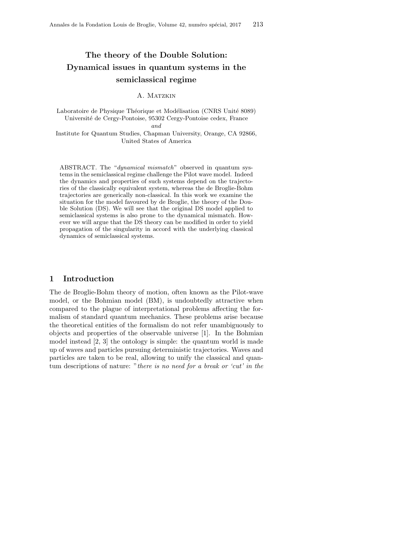# The theory of the Double Solution: Dynamical issues in quantum systems in the semiclassical regime

#### A. Matzkin

Laboratoire de Physique Théorique et Modélisation (CNRS Unité 8089) Université de Cergy-Pontoise, 95302 Cergy-Pontoise cedex, France and Institute for Quantum Studies, Chapman University, Orange, CA 92866,

United States of America

ABSTRACT. The "*dynamical mismatch*" observed in quantum systems in the semiclassical regime challenge the Pilot wave model. Indeed the dynamics and properties of such systems depend on the trajectories of the classically equivalent system, whereas the de Broglie-Bohm trajectories are generically non-classical. In this work we examine the situation for the model favoured by de Broglie, the theory of the Double Solution (DS). We will see that the original DS model applied to semiclassical systems is also prone to the dynamical mismatch. However we will argue that the DS theory can be modified in order to yield propagation of the singularity in accord with the underlying classical dynamics of semiclassical systems.

### 1 Introduction

The de Broglie-Bohm theory of motion, often known as the Pilot-wave model, or the Bohmian model (BM), is undoubtedly attractive when compared to the plague of interpretational problems affecting the formalism of standard quantum mechanics. These problems arise because the theoretical entities of the formalism do not refer unambiguously to objects and properties of the observable universe [1]. In the Bohmian model instead  $[2, 3]$  the ontology is simple: the quantum world is made up of waves and particles pursuing deterministic trajectories. Waves and particles are taken to be real, allowing to unify the classical and quantum descriptions of nature: "there is no need for a break or 'cut' in the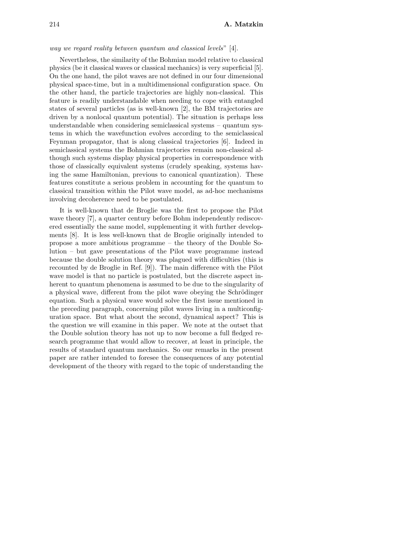#### way we regard reality between quantum and classical levels" [4].

Nevertheless, the similarity of the Bohmian model relative to classical physics (be it classical waves or classical mechanics) is very superficial [5]. On the one hand, the pilot waves are not defined in our four dimensional physical space-time, but in a multidimensional configuration space. On the other hand, the particle trajectories are highly non-classical. This feature is readily understandable when needing to cope with entangled states of several particles (as is well-known [2], the BM trajectories are driven by a nonlocal quantum potential). The situation is perhaps less understandable when considering semiclassical systems – quantum systems in which the wavefunction evolves according to the semiclassical Feynman propagator, that is along classical trajectories [6]. Indeed in semiclassical systems the Bohmian trajectories remain non-classical although such systems display physical properties in correspondence with those of classically equivalent systems (crudely speaking, systems having the same Hamiltonian, previous to canonical quantization). These features constitute a serious problem in accounting for the quantum to classical transition within the Pilot wave model, as ad-hoc mechanisms involving decoherence need to be postulated.

It is well-known that de Broglie was the first to propose the Pilot wave theory [7], a quarter century before Bohm independently rediscovered essentially the same model, supplementing it with further developments [8]. It is less well-known that de Broglie originally intended to propose a more ambitious programme – the theory of the Double Solution – but gave presentations of the Pilot wave programme instead because the double solution theory was plagued with difficulties (this is recounted by de Broglie in Ref. [9]). The main difference with the Pilot wave model is that no particle is postulated, but the discrete aspect inherent to quantum phenomena is assumed to be due to the singularity of a physical wave, different from the pilot wave obeying the Schrödinger equation. Such a physical wave would solve the first issue mentioned in the preceding paragraph, concerning pilot waves living in a multiconfiguration space. But what about the second, dynamical aspect? This is the question we will examine in this paper. We note at the outset that the Double solution theory has not up to now become a full fledged research programme that would allow to recover, at least in principle, the results of standard quantum mechanics. So our remarks in the present paper are rather intended to foresee the consequences of any potential development of the theory with regard to the topic of understanding the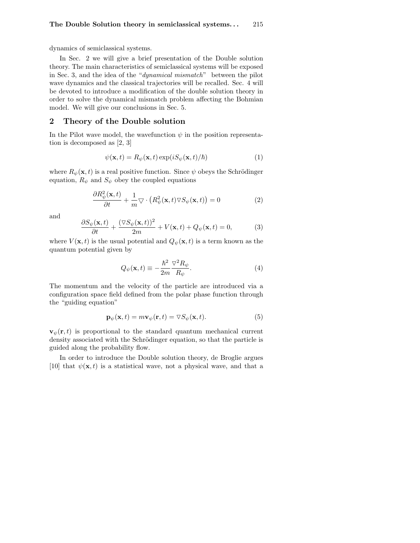dynamics of semiclassical systems.

In Sec. 2 we will give a brief presentation of the Double solution theory. The main characteristics of semiclassical systems will be exposed in Sec. 3, and the idea of the "dynamical mismatch" between the pilot wave dynamics and the classical trajectories will be recalled. Sec. 4 will be devoted to introduce a modification of the double solution theory in order to solve the dynamical mismatch problem affecting the Bohmian model. We will give our conclusions in Sec. 5.

#### 2 Theory of the Double solution

In the Pilot wave model, the wavefunction  $\psi$  in the position representation is decomposed as [2, 3]

$$
\psi(\mathbf{x},t) = R_{\psi}(\mathbf{x},t) \exp(iS_{\psi}(\mathbf{x},t)/\hbar)
$$
\n(1)

where  $R_{\psi}(\mathbf{x},t)$  is a real positive function. Since  $\psi$  obeys the Schrödinger equation,  $R_{\psi}$  and  $S_{\psi}$  obey the coupled equations

$$
\frac{\partial R_{\psi}^{2}(\mathbf{x},t)}{\partial t} + \frac{1}{m} \nabla \cdot (R_{\psi}^{2}(\mathbf{x},t) \nabla S_{\psi}(\mathbf{x},t)) = 0
$$
\n(2)

and

$$
\frac{\partial S_{\psi}(\mathbf{x},t)}{\partial t} + \frac{(\nabla S_{\psi}(\mathbf{x},t))^{2}}{2m} + V(\mathbf{x},t) + Q_{\psi}(\mathbf{x},t) = 0,
$$
 (3)

where  $V(\mathbf{x}, t)$  is the usual potential and  $Q_{\psi}(\mathbf{x}, t)$  is a term known as the quantum potential given by

$$
Q_{\psi}(\mathbf{x},t) \equiv -\frac{\hbar^2}{2m} \frac{\nabla^2 R_{\psi}}{R_{\psi}}.
$$
 (4)

The momentum and the velocity of the particle are introduced via a configuration space field defined from the polar phase function through the "guiding equation"

$$
\mathbf{p}_{\psi}(\mathbf{x},t) = m\mathbf{v}_{\psi}(\mathbf{r},t) = \nabla S_{\psi}(\mathbf{x},t). \tag{5}
$$

 $\mathbf{v}_{\psi}(\mathbf{r},t)$  is proportional to the standard quantum mechanical current density associated with the Schrödinger equation, so that the particle is guided along the probability flow.

In order to introduce the Double solution theory, de Broglie argues [10] that  $\psi(\mathbf{x},t)$  is a statistical wave, not a physical wave, and that a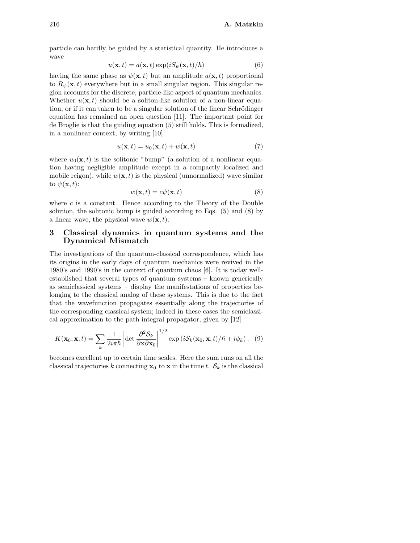particle can hardly be guided by a statistical quantity. He introduces a wave

$$
u(\mathbf{x},t) = a(\mathbf{x},t) \exp(iS_{\psi}(\mathbf{x},t)/\hbar)
$$
\n(6)

having the same phase as  $\psi(\mathbf{x}, t)$  but an amplitude  $a(\mathbf{x}, t)$  proportional to  $R_{\psi}(\mathbf{x},t)$  everywhere but in a small singular region. This singular region accounts for the discrete, particle-like aspect of quantum mechanics. Whether  $u(\mathbf{x}, t)$  should be a soliton-like solution of a non-linear equation, or if it can taken to be a singular solution of the linear Schrödinger equation has remained an open question [11]. The important point for de Broglie is that the guiding equation (5) still holds. This is formalized, in a nonlinear context, by writing [10]

$$
u(\mathbf{x},t) = u_0(\mathbf{x},t) + w(\mathbf{x},t)
$$
\n<sup>(7)</sup>

where  $u_0(\mathbf{x}, t)$  is the solitonic "bump" (a solution of a nonlinear equation having negligible amplitude except in a compactly localized and mobile reigon), while  $w(\mathbf{x}, t)$  is the physical (unnormalized) wave similar to  $\psi(\mathbf{x},t)$ :

$$
w(\mathbf{x},t) = c\psi(\mathbf{x},t)
$$
\n(8)

where  $c$  is a constant. Hence according to the Theory of the Double solution, the solitonic bump is guided according to Eqs. (5) and (8) by a linear wave, the physical wave  $w(\mathbf{x}, t)$ .

## 3 Classical dynamics in quantum systems and the Dynamical Mismatch

The investigations of the quantum-classical correspondence, which has its origins in the early days of quantum mechanics were revived in the 1980's and 1990's in the context of quantum chaos [6]. It is today wellestablished that several types of quantum systems – known generically as semiclassical systems – display the manifestations of properties belonging to the classical analog of these systems. This is due to the fact that the wavefunction propagates essentially along the trajectories of the corresponding classical system; indeed in these cases the semiclassical approximation to the path integral propagator, given by [12]

$$
K(\mathbf{x}_0, \mathbf{x}, t) = \sum_k \frac{1}{2i\pi\hbar} \left| \det \frac{\partial^2 \mathcal{S}_k}{\partial \mathbf{x} \partial \mathbf{x}_0} \right|^{1/2} \exp \left( i \mathcal{S}_k(\mathbf{x}_0, \mathbf{x}, t) / \hbar + i \phi_k \right), \tag{9}
$$

becomes excellent up to certain time scales. Here the sum runs on all the classical trajectories k connecting  $x_0$  to x in the time t.  $S_k$  is the classical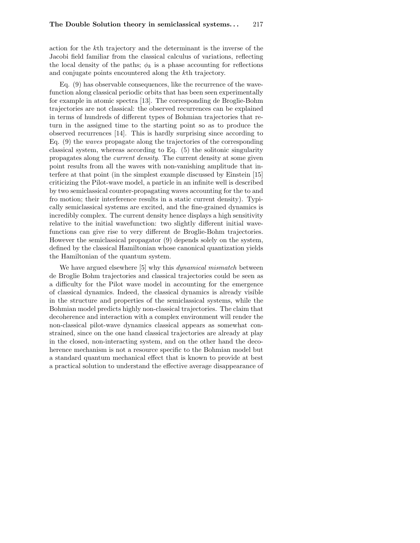action for the kth trajectory and the determinant is the inverse of the Jacobi field familiar from the classical calculus of variations, reflecting the local density of the paths;  $\phi_k$  is a phase accounting for reflections and conjugate points encountered along the kth trajectory.

Eq. (9) has observable consequences, like the recurrence of the wavefunction along classical periodic orbits that has been seen experimentally for example in atomic spectra [13]. The corresponding de Broglie-Bohm trajectories are not classical: the observed recurrences can be explained in terms of hundreds of different types of Bohmian trajectories that return in the assigned time to the starting point so as to produce the observed recurrences [14]. This is hardly surprising since according to Eq. (9) the waves propagate along the trajectories of the corresponding classical system, whereas according to Eq. (5) the solitonic singularity propagates along the current density. The current density at some given point results from all the waves with non-vanishing amplitude that interfere at that point (in the simplest example discussed by Einstein [15] criticizing the Pilot-wave model, a particle in an infinite well is described by two semiclassical counter-propagating waves accounting for the to and fro motion; their interference results in a static current density). Typically semiclassical systems are excited, and the fine-grained dynamics is incredibly complex. The current density hence displays a high sensitivity relative to the initial wavefunction: two slightly different initial wavefunctions can give rise to very different de Broglie-Bohm trajectories. However the semiclassical propagator (9) depends solely on the system, defined by the classical Hamiltonian whose canonical quantization yields the Hamiltonian of the quantum system.

We have argued elsewhere [5] why this *dynamical mismatch* between de Broglie Bohm trajectories and classical trajectories could be seen as a difficulty for the Pilot wave model in accounting for the emergence of classical dynamics. Indeed, the classical dynamics is already visible in the structure and properties of the semiclassical systems, while the Bohmian model predicts highly non-classical trajectories. The claim that decoherence and interaction with a complex environment will render the non-classical pilot-wave dynamics classical appears as somewhat constrained, since on the one hand classical trajectories are already at play in the closed, non-interacting system, and on the other hand the decoherence mechanism is not a resource specific to the Bohmian model but a standard quantum mechanical effect that is known to provide at best a practical solution to understand the effective average disappearance of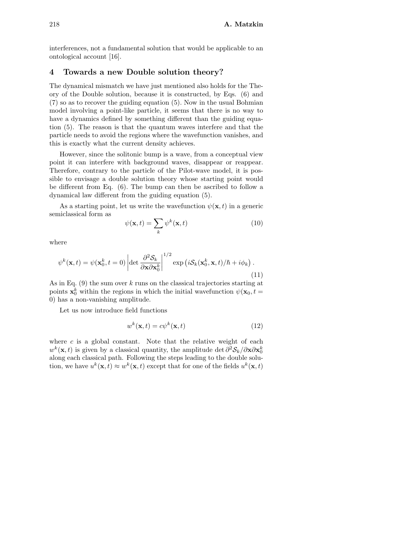interferences, not a fundamental solution that would be applicable to an ontological account [16].

## 4 Towards a new Double solution theory?

The dynamical mismatch we have just mentioned also holds for the Theory of the Double solution, because it is constructed, by Eqs. (6) and (7) so as to recover the guiding equation (5). Now in the usual Bohmian model involving a point-like particle, it seems that there is no way to have a dynamics defined by something different than the guiding equation (5). The reason is that the quantum waves interfere and that the particle needs to avoid the regions where the wavefunction vanishes, and this is exactly what the current density achieves.

However, since the solitonic bump is a wave, from a conceptual view point it can interfere with background waves, disappear or reappear. Therefore, contrary to the particle of the Pilot-wave model, it is possible to envisage a double solution theory whose starting point would be different from Eq. (6). The bump can then be ascribed to follow a dynamical law different from the guiding equation (5).

As a starting point, let us write the wavefunction  $\psi(\mathbf{x}, t)$  in a generic semiclassical form as

$$
\psi(\mathbf{x},t) = \sum_{k} \psi^{k}(\mathbf{x},t)
$$
\n(10)

where

$$
\psi^{k}(\mathbf{x},t) = \psi(\mathbf{x}_{0}^{k},t=0) \left| \det \frac{\partial^{2} S_{k}}{\partial \mathbf{x} \partial \mathbf{x}_{0}^{k}} \right|^{1/2} \exp \left( iS_{k}(\mathbf{x}_{0}^{k}, \mathbf{x},t) / \hbar + i\phi_{k} \right). \tag{11}
$$

As in Eq.  $(9)$  the sum over k runs on the classical trajectories starting at points  $\mathbf{x}_0^k$  within the regions in which the initial wavefunction  $\psi(\mathbf{x}_0, t =$ 0) has a non-vanishing amplitude.

Let us now introduce field functions

$$
w^k(\mathbf{x}, t) = c\psi^k(\mathbf{x}, t)
$$
\n(12)

where c is a global constant. Note that the relative weight of each  $w^k(\mathbf{x}, t)$  is given by a classical quantity, the amplitude det  $\partial^2 \mathcal{S}_k/\partial \mathbf{x}\partial \mathbf{x}_0^k$ along each classical path. Following the steps leading to the double solution, we have  $u^k(\mathbf{x},t) \approx w^k(\mathbf{x},t)$  except that for one of the fields  $u^k(\mathbf{x},t)$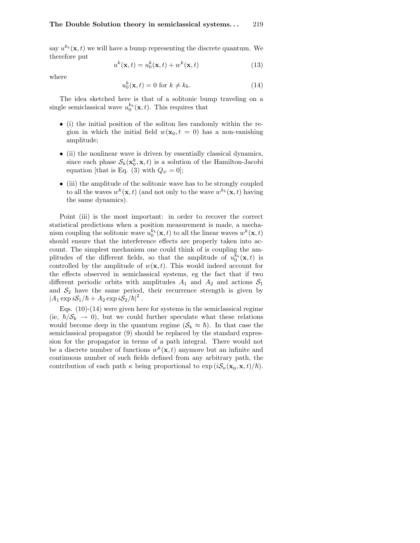say  $u^{k_b}(\mathbf{x}, t)$  we will have a bump representing the discrete quantum. We therefore put

$$
u^{k}(\mathbf{x},t) = u_0^{k}(\mathbf{x},t) + w^{k}(\mathbf{x},t)
$$
\n(13)

where

$$
u_0^k(\mathbf{x}, t) = 0 \text{ for } k \neq k_b.
$$
 (14)

The idea sketched here is that of a solitonic bump traveling on a single semiclassical wave  $u_0^{k_b}(\mathbf{x}, t)$ . This requires that

- (i) the initial position of the soliton lies randomly within the region in which the initial field  $w(\mathbf{x}_0, t = 0)$  has a non-vanishing amplitude;
- (ii) the nonlinear wave is driven by essentially classical dynamics, since each phase  $\mathcal{S}_k(\mathbf{x}_0^k, \mathbf{x}, t)$  is a solution of the Hamilton-Jacobi equation [that is Eq. (3) with  $Q_{\psi} = 0$ ];
- (iii) the amplitude of the solitonic wave has to be strongly coupled to all the waves  $w^k(\mathbf{x},t)$  (and not only to the wave  $w^{k_b}(\mathbf{x},t)$  having the same dynamics).

Point (iii) is the most important: in order to recover the correct statistical predictions when a position measurement is made, a mechanism coupling the solitonic wave  $u_0^{k_b}(\mathbf{x}, t)$  to all the linear waves  $w^k(\mathbf{x}, t)$ should ensure that the interference effects are properly taken into account. The simplest mechanism one could think of is coupling the amplitudes of the different fields, so that the amplitude of  $u_0^{k_b}(\mathbf{x},t)$  is controlled by the amplitude of  $w(\mathbf{x}, t)$ . This would indeed account for the effects observed in semiclassical systems, eg the fact that if two different periodic orbits with amplitudes  $A_1$  and  $A_2$  and actions  $S_1$ and  $S_2$  have the same period, their recurrence strength is given by  $|A_1 \exp iS_1/\hbar + A_2 \exp iS_2/\hbar|^2$ .

Eqs. (10)-(14) were given here for systems in the semiclassical regime (ie,  $\hbar/S_k \to 0$ ), but we could further speculate what these relations would become deep in the quantum regime  $(S_k \approx \hbar)$ . In that case the semiclassical propagator (9) should be replaced by the standard expression for the propagator in terms of a path integral. There would not be a discrete number of functions  $w^k(\mathbf{x}, t)$  anymore but an infinite and continuous number of such fields defined from any arbitrary path, the contribution of each path  $\kappa$  being proportional to  $\exp(i\mathcal{S}_{\kappa}(\mathbf{x}_0,\mathbf{x},t)/\hbar)$ .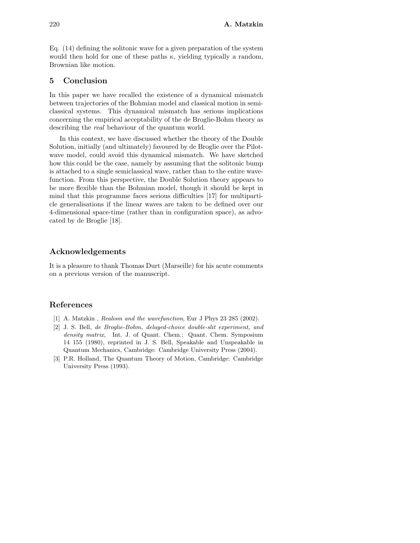Eq. (14) defining the solitonic wave for a given preparation of the system would then hold for one of these paths  $\kappa$ , yielding typically a random, Brownian like motion.

## 5 Conclusion

In this paper we have recalled the existence of a dynamical mismatch between trajectories of the Bohmian model and classical motion in semiclassical systems. This dynamical mismatch has serious implications concerning the empirical acceptability of the de Broglie-Bohm theory as describing the real behaviour of the quantum world.

In this context, we have discussed whether the theory of the Double Solution, initially (and ultimately) favoured by de Broglie over the Pilotwave model, could avoid this dynamical mismatch. We have sketched how this could be the case, namely by assuming that the solitonic bump is attached to a single semiclassical wave, rather than to the entire wavefunction. From this perspective, the Double Solution theory appears to be more flexible than the Bohmian model, though it should be kept in mind that this programme faces serious difficulties [17] for multiparticle generalisations if the linear waves are taken to be defined over our 4-dimensional space-time (rather than in configuration space), as advocated by de Broglie [18].

## Acknowledgements

It is a pleasure to thank Thomas Durt (Marseille) for his acute comments on a previous version of the manuscript.

## References

- [1] A. Matzkin, *Realism and the wavefunction*, Eur J Phys 23 285 (2002).
- [2] J. S. Bell, de Broglie-Bohm, delayed-choice double-slit experiment, and density matrix, Int. J. of Quant. Chem.: Quant. Chem. Symposium 14 155 (1980), reprinted in J. S. Bell, Speakable and Unspeakable in Quantum Mechanics, Cambridge: Cambridge University Press (2004).
- [3] P.R. Holland, The Quantum Theory of Motion, Cambridge: Cambridge University Press (1993).